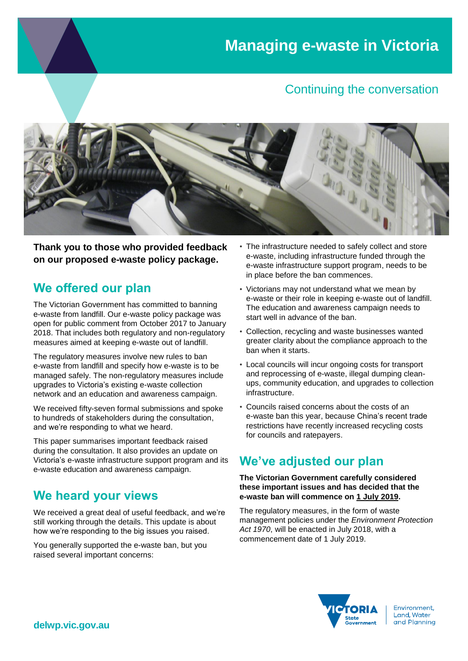### Continuing the conversation



**Thank you to those who provided feedback on our proposed e-waste policy package.**

# **We offered our plan**

The Victorian Government has committed to banning e-waste from landfill. Our e-waste policy package was open for public comment from October 2017 to January 2018. That includes both regulatory and non-regulatory measures aimed at keeping e-waste out of landfill.

The regulatory measures involve new rules to ban e-waste from landfill and specify how e-waste is to be managed safely. The non-regulatory measures include upgrades to Victoria's existing e-waste collection network and an education and awareness campaign.

We received fifty-seven formal submissions and spoke to hundreds of stakeholders during the consultation, and we're responding to what we heard.

This paper summarises important feedback raised during the consultation. It also provides an update on Victoria's e-waste infrastructure support program and its e-waste education and awareness campaign.

# **We heard your views**

We received a great deal of useful feedback, and we're still working through the details. This update is about how we're responding to the big issues you raised.

You generally supported the e-waste ban, but you raised several important concerns:

- The infrastructure needed to safely collect and store e-waste, including infrastructure funded through the e-waste infrastructure support program, needs to be in place before the ban commences.
- Victorians may not understand what we mean by e-waste or their role in keeping e-waste out of landfill. The education and awareness campaign needs to start well in advance of the ban.
- Collection, recycling and waste businesses wanted greater clarity about the compliance approach to the ban when it starts.
- Local councils will incur ongoing costs for transport and reprocessing of e-waste, illegal dumping cleanups, community education, and upgrades to collection infrastructure.
- Councils raised concerns about the costs of an e-waste ban this year, because China's recent trade restrictions have recently increased recycling costs for councils and ratepayers.

# **We've adjusted our plan**

#### **The Victorian Government carefully considered these important issues and has decided that the e-waste ban will commence on 1 July 2019.**

The regulatory measures, in the form of waste management policies under the *Environment Protection Act 1970*, will be enacted in July 2018, with a commencement date of 1 July 2019.



Environment, Land, Water and Planning